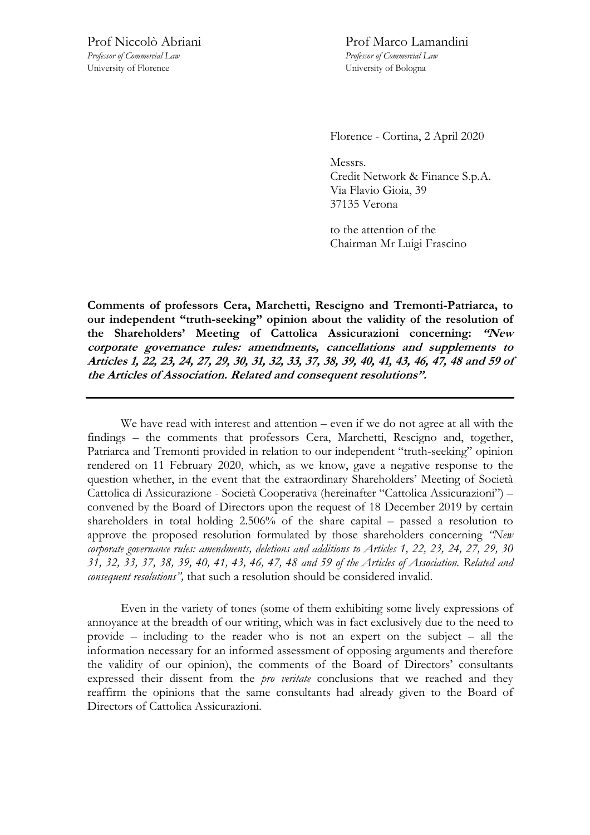*Professor of Commercial Law Professor of Commercial Law*  University of Florence University of Bologna

Prof Niccolò Abriani Prof Marco Lamandini

Florence - Cortina, 2 April 2020

Messrs. Credit Network & Finance S.p.A. Via Flavio Gioia, 39 37135 Verona

to the attention of the Chairman Mr Luigi Frascino

**Comments of professors Cera, Marchetti, Rescigno and Tremonti-Patriarca, to our independent "truth-seeking" opinion about the validity of the resolution of the Shareholders' Meeting of Cattolica Assicurazioni concerning: "New corporate governance rules: amendments, cancellations and supplements to Articles 1, 22, 23, 24, 27, 29, 30, 31, 32, 33, 37, 38, 39, 40, 41, 43, 46, 47, 48 and 59 of the Articles of Association. Related and consequent resolutions".** 

We have read with interest and attention – even if we do not agree at all with the findings – the comments that professors Cera, Marchetti, Rescigno and, together, Patriarca and Tremonti provided in relation to our independent "truth-seeking" opinion rendered on 11 February 2020, which, as we know, gave a negative response to the question whether, in the event that the extraordinary Shareholders' Meeting of Società Cattolica di Assicurazione - Società Cooperativa (hereinafter "Cattolica Assicurazioni") – convened by the Board of Directors upon the request of 18 December 2019 by certain shareholders in total holding 2.506% of the share capital – passed a resolution to approve the proposed resolution formulated by those shareholders concerning *"New corporate governance rules: amendments, deletions and additions to Articles 1, 22, 23, 24, 27, 29, 30 31, 32, 33, 37, 38, 39, 40, 41, 43, 46, 47, 48 and 59 of the Articles of Association. Related and consequent resolutions",* that such a resolution should be considered invalid.

Even in the variety of tones (some of them exhibiting some lively expressions of annoyance at the breadth of our writing, which was in fact exclusively due to the need to provide – including to the reader who is not an expert on the subject – all the information necessary for an informed assessment of opposing arguments and therefore the validity of our opinion), the comments of the Board of Directors' consultants expressed their dissent from the *pro veritate* conclusions that we reached and they reaffirm the opinions that the same consultants had already given to the Board of Directors of Cattolica Assicurazioni.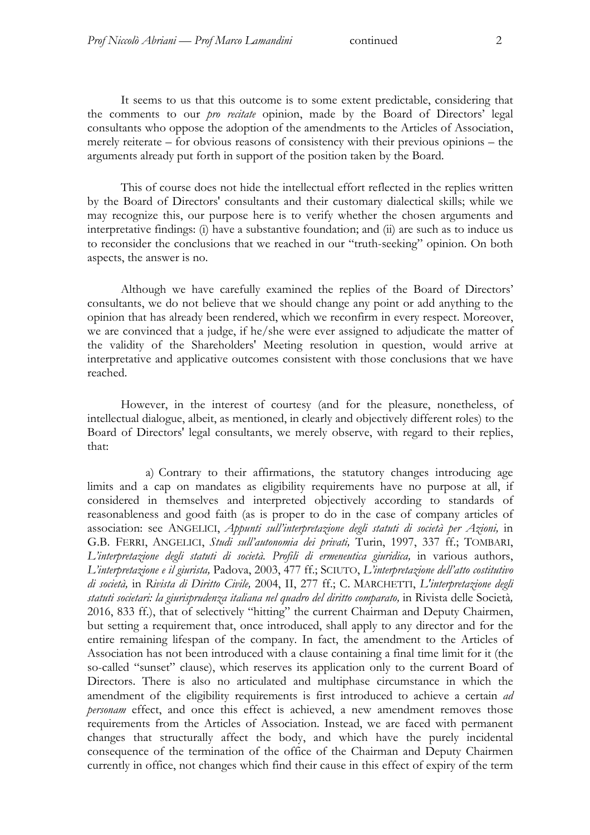It seems to us that this outcome is to some extent predictable, considering that the comments to our *pro recitate* opinion, made by the Board of Directors' legal consultants who oppose the adoption of the amendments to the Articles of Association, merely reiterate – for obvious reasons of consistency with their previous opinions – the arguments already put forth in support of the position taken by the Board.

This of course does not hide the intellectual effort reflected in the replies written by the Board of Directors' consultants and their customary dialectical skills; while we may recognize this, our purpose here is to verify whether the chosen arguments and interpretative findings: (i) have a substantive foundation; and (ii) are such as to induce us to reconsider the conclusions that we reached in our "truth-seeking" opinion. On both aspects, the answer is no.

Although we have carefully examined the replies of the Board of Directors' consultants, we do not believe that we should change any point or add anything to the opinion that has already been rendered, which we reconfirm in every respect. Moreover, we are convinced that a judge, if he/she were ever assigned to adjudicate the matter of the validity of the Shareholders' Meeting resolution in question, would arrive at interpretative and applicative outcomes consistent with those conclusions that we have reached.

However, in the interest of courtesy (and for the pleasure, nonetheless, of intellectual dialogue, albeit, as mentioned, in clearly and objectively different roles) to the Board of Directors' legal consultants, we merely observe, with regard to their replies, that:

a) Contrary to their affirmations, the statutory changes introducing age limits and a cap on mandates as eligibility requirements have no purpose at all, if considered in themselves and interpreted objectively according to standards of reasonableness and good faith (as is proper to do in the case of company articles of association: see ANGELICI, *Appunti sull'interpretazione degli statuti di società per Azioni,* in G.B. FERRI, ANGELICI, *Studi sull'autonomia dei privati,* Turin, 1997, 337 ff.; TOMBARI, L'interpretazione degli statuti di società. Profili di ermeneutica giuridica, in various authors, *L'interpretazione e il giurista,* Padova, 2003, 477 ff.; SCIUTO, *L'interpretazione dell'atto costitutivo di società,* in *Rivista di Diritto Civile,* 2004, II, 277 ff.; C. MARCHETTI, *L'interpretazione degli statuti societari: la giurisprudenza italiana nel quadro del diritto comparato,* in Rivista delle Società*,*  2016, 833 ff.), that of selectively "hitting" the current Chairman and Deputy Chairmen, but setting a requirement that, once introduced, shall apply to any director and for the entire remaining lifespan of the company. In fact, the amendment to the Articles of Association has not been introduced with a clause containing a final time limit for it (the so-called "sunset" clause), which reserves its application only to the current Board of Directors. There is also no articulated and multiphase circumstance in which the amendment of the eligibility requirements is first introduced to achieve a certain *ad personam* effect, and once this effect is achieved, a new amendment removes those requirements from the Articles of Association. Instead, we are faced with permanent changes that structurally affect the body, and which have the purely incidental consequence of the termination of the office of the Chairman and Deputy Chairmen currently in office, not changes which find their cause in this effect of expiry of the term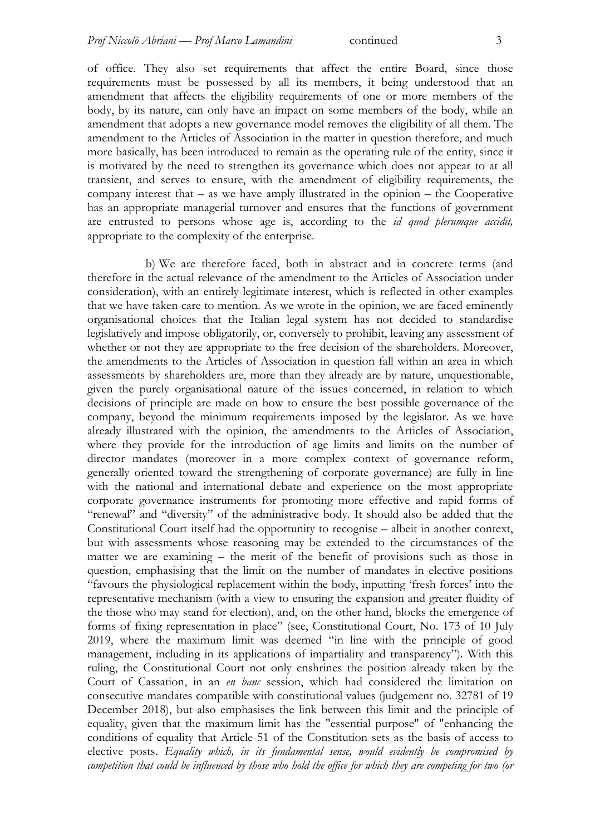of office. They also set requirements that affect the entire Board, since those requirements must be possessed by all its members, it being understood that an amendment that affects the eligibility requirements of one or more members of the body, by its nature, can only have an impact on some members of the body, while an amendment that adopts a new governance model removes the eligibility of all them. The amendment to the Articles of Association in the matter in question therefore, and much more basically, has been introduced to remain as the operating rule of the entity, since it is motivated by the need to strengthen its governance which does not appear to at all transient, and serves to ensure, with the amendment of eligibility requirements, the company interest that – as we have amply illustrated in the opinion – the Cooperative has an appropriate managerial turnover and ensures that the functions of government are entrusted to persons whose age is, according to the *id quod plerumque accidit,*  appropriate to the complexity of the enterprise.

b) We are therefore faced, both in abstract and in concrete terms (and therefore in the actual relevance of the amendment to the Articles of Association under consideration), with an entirely legitimate interest, which is reflected in other examples that we have taken care to mention. As we wrote in the opinion, we are faced eminently organisational choices that the Italian legal system has not decided to standardise legislatively and impose obligatorily, or, conversely to prohibit, leaving any assessment of whether or not they are appropriate to the free decision of the shareholders. Moreover, the amendments to the Articles of Association in question fall within an area in which assessments by shareholders are, more than they already are by nature, unquestionable, given the purely organisational nature of the issues concerned, in relation to which decisions of principle are made on how to ensure the best possible governance of the company, beyond the minimum requirements imposed by the legislator. As we have already illustrated with the opinion, the amendments to the Articles of Association, where they provide for the introduction of age limits and limits on the number of director mandates (moreover in a more complex context of governance reform, generally oriented toward the strengthening of corporate governance) are fully in line with the national and international debate and experience on the most appropriate corporate governance instruments for promoting more effective and rapid forms of "renewal" and "diversity" of the administrative body. It should also be added that the Constitutional Court itself had the opportunity to recognise – albeit in another context, but with assessments whose reasoning may be extended to the circumstances of the matter we are examining – the merit of the benefit of provisions such as those in question, emphasising that the limit on the number of mandates in elective positions "favours the physiological replacement within the body, inputting 'fresh forces' into the representative mechanism (with a view to ensuring the expansion and greater fluidity of the those who may stand for election), and, on the other hand, blocks the emergence of forms of fixing representation in place" (see, Constitutional Court, No. 173 of 10 July 2019, where the maximum limit was deemed "in line with the principle of good management, including in its applications of impartiality and transparency"). With this ruling, the Constitutional Court not only enshrines the position already taken by the Court of Cassation, in an *en banc* session, which had considered the limitation on consecutive mandates compatible with constitutional values (judgement no. 32781 of 19 December 2018), but also emphasises the link between this limit and the principle of equality, given that the maximum limit has the "essential purpose" of "enhancing the conditions of equality that Article 51 of the Constitution sets as the basis of access to elective posts. *Equality which, in its fundamental sense, would evidently be compromised by competition that could be influenced by those who hold the office for which they are competing for two (or*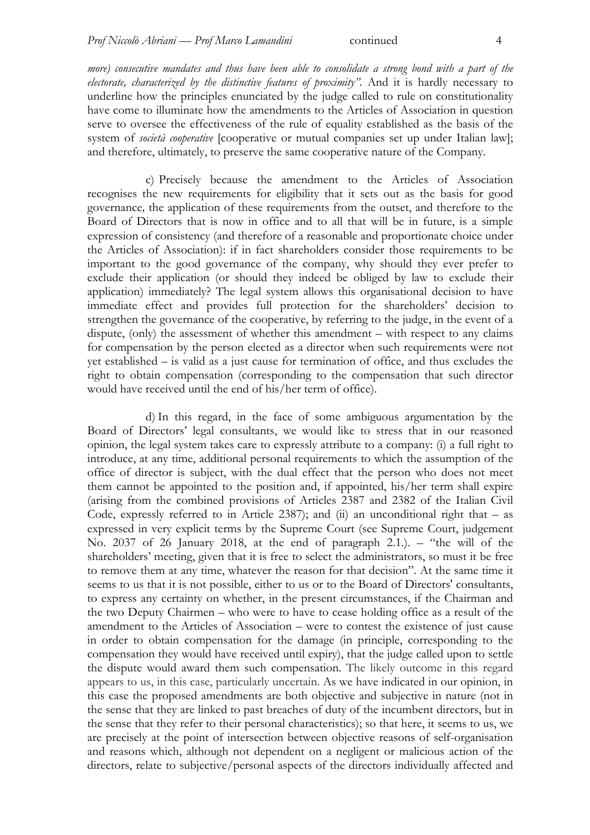*more) consecutive mandates and thus have been able to consolidate a strong bond with a part of the electorate, characterized by the distinctive features of proximity".* And it is hardly necessary to underline how the principles enunciated by the judge called to rule on constitutionality have come to illuminate how the amendments to the Articles of Association in question serve to oversee the effectiveness of the rule of equality established as the basis of the system of *società cooperative* [cooperative or mutual companies set up under Italian law]; and therefore, ultimately, to preserve the same cooperative nature of the Company.

c) Precisely because the amendment to the Articles of Association recognises the new requirements for eligibility that it sets out as the basis for good governance*,* the application of these requirements from the outset, and therefore to the Board of Directors that is now in office and to all that will be in future, is a simple expression of consistency (and therefore of a reasonable and proportionate choice under the Articles of Association): if in fact shareholders consider those requirements to be important to the good governance of the company, why should they ever prefer to exclude their application (or should they indeed be obliged by law to exclude their application) immediately? The legal system allows this organisational decision to have immediate effect and provides full protection for the shareholders' decision to strengthen the governance of the cooperative, by referring to the judge, in the event of a dispute, (only) the assessment of whether this amendment – with respect to any claims for compensation by the person elected as a director when such requirements were not yet established – is valid as a just cause for termination of office, and thus excludes the right to obtain compensation (corresponding to the compensation that such director would have received until the end of his/her term of office).

d) In this regard, in the face of some ambiguous argumentation by the Board of Directors' legal consultants, we would like to stress that in our reasoned opinion, the legal system takes care to expressly attribute to a company: (i) a full right to introduce, at any time, additional personal requirements to which the assumption of the office of director is subject, with the dual effect that the person who does not meet them cannot be appointed to the position and, if appointed, his/her term shall expire (arising from the combined provisions of Articles 2387 and 2382 of the Italian Civil Code, expressly referred to in Article 2387); and (ii) an unconditional right that  $-$  as expressed in very explicit terms by the Supreme Court (see Supreme Court, judgement No. 2037 of 26 January 2018, at the end of paragraph 2.1.). – "the will of the shareholders' meeting, given that it is free to select the administrators, so must it be free to remove them at any time, whatever the reason for that decision". At the same time it seems to us that it is not possible, either to us or to the Board of Directors' consultants, to express any certainty on whether, in the present circumstances, if the Chairman and the two Deputy Chairmen – who were to have to cease holding office as a result of the amendment to the Articles of Association – were to contest the existence of just cause in order to obtain compensation for the damage (in principle, corresponding to the compensation they would have received until expiry), that the judge called upon to settle the dispute would award them such compensation. The likely outcome in this regard appears to us, in this case, particularly uncertain. As we have indicated in our opinion, in this case the proposed amendments are both objective and subjective in nature (not in the sense that they are linked to past breaches of duty of the incumbent directors, but in the sense that they refer to their personal characteristics); so that here, it seems to us, we are precisely at the point of intersection between objective reasons of self-organisation and reasons which, although not dependent on a negligent or malicious action of the directors, relate to subjective/personal aspects of the directors individually affected and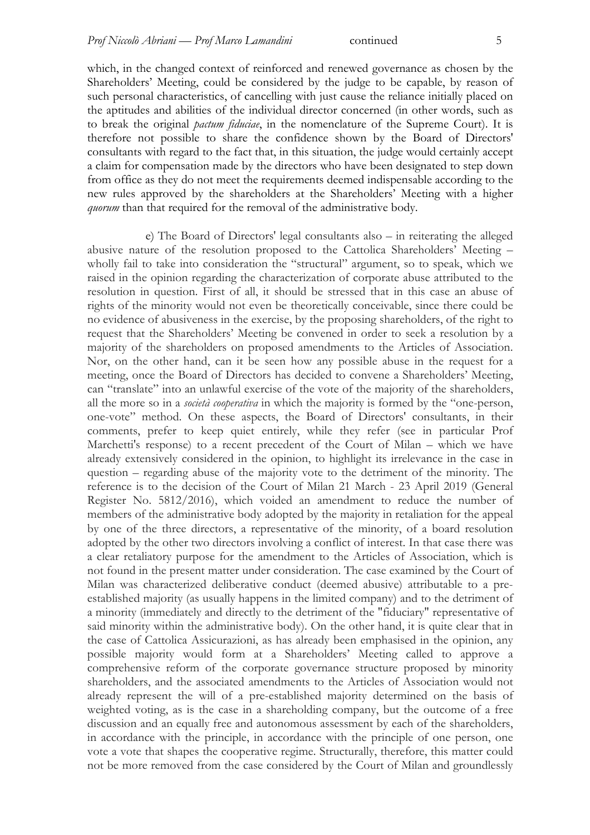which, in the changed context of reinforced and renewed governance as chosen by the Shareholders' Meeting, could be considered by the judge to be capable, by reason of such personal characteristics, of cancelling with just cause the reliance initially placed on the aptitudes and abilities of the individual director concerned (in other words, such as to break the original *pactum fiduciae*, in the nomenclature of the Supreme Court). It is therefore not possible to share the confidence shown by the Board of Directors' consultants with regard to the fact that, in this situation, the judge would certainly accept a claim for compensation made by the directors who have been designated to step down from office as they do not meet the requirements deemed indispensable according to the new rules approved by the shareholders at the Shareholders' Meeting with a higher *quorum* than that required for the removal of the administrative body.

e) The Board of Directors' legal consultants also – in reiterating the alleged abusive nature of the resolution proposed to the Cattolica Shareholders' Meeting – wholly fail to take into consideration the "structural" argument, so to speak, which we raised in the opinion regarding the characterization of corporate abuse attributed to the resolution in question. First of all, it should be stressed that in this case an abuse of rights of the minority would not even be theoretically conceivable, since there could be no evidence of abusiveness in the exercise, by the proposing shareholders, of the right to request that the Shareholders' Meeting be convened in order to seek a resolution by a majority of the shareholders on proposed amendments to the Articles of Association. Nor, on the other hand, can it be seen how any possible abuse in the request for a meeting, once the Board of Directors has decided to convene a Shareholders' Meeting, can "translate" into an unlawful exercise of the vote of the majority of the shareholders, all the more so in a *società cooperativa* in which the majority is formed by the "one-person, one-vote" method. On these aspects, the Board of Directors' consultants, in their comments, prefer to keep quiet entirely, while they refer (see in particular Prof Marchetti's response) to a recent precedent of the Court of Milan – which we have already extensively considered in the opinion, to highlight its irrelevance in the case in question – regarding abuse of the majority vote to the detriment of the minority. The reference is to the decision of the Court of Milan 21 March - 23 April 2019 (General Register No. 5812/2016), which voided an amendment to reduce the number of members of the administrative body adopted by the majority in retaliation for the appeal by one of the three directors, a representative of the minority, of a board resolution adopted by the other two directors involving a conflict of interest. In that case there was a clear retaliatory purpose for the amendment to the Articles of Association, which is not found in the present matter under consideration. The case examined by the Court of Milan was characterized deliberative conduct (deemed abusive) attributable to a preestablished majority (as usually happens in the limited company) and to the detriment of a minority (immediately and directly to the detriment of the "fiduciary" representative of said minority within the administrative body). On the other hand, it is quite clear that in the case of Cattolica Assicurazioni, as has already been emphasised in the opinion, any possible majority would form at a Shareholders' Meeting called to approve a comprehensive reform of the corporate governance structure proposed by minority shareholders, and the associated amendments to the Articles of Association would not already represent the will of a pre-established majority determined on the basis of weighted voting, as is the case in a shareholding company, but the outcome of a free discussion and an equally free and autonomous assessment by each of the shareholders, in accordance with the principle, in accordance with the principle of one person, one vote a vote that shapes the cooperative regime. Structurally, therefore, this matter could not be more removed from the case considered by the Court of Milan and groundlessly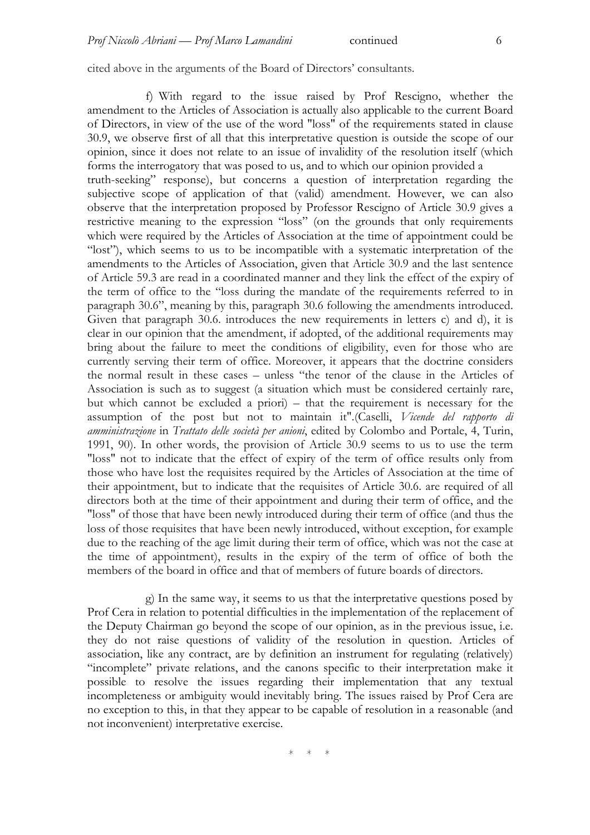cited above in the arguments of the Board of Directors' consultants.

f) With regard to the issue raised by Prof Rescigno, whether the amendment to the Articles of Association is actually also applicable to the current Board of Directors, in view of the use of the word "loss" of the requirements stated in clause 30.9, we observe first of all that this interpretative question is outside the scope of our opinion, since it does not relate to an issue of invalidity of the resolution itself (which forms the interrogatory that was posed to us, and to which our opinion provided a truth-seeking" response), but concerns a question of interpretation regarding the subjective scope of application of that (valid) amendment. However, we can also observe that the interpretation proposed by Professor Rescigno of Article 30.9 gives a restrictive meaning to the expression "loss" (on the grounds that only requirements which were required by the Articles of Association at the time of appointment could be "lost"), which seems to us to be incompatible with a systematic interpretation of the amendments to the Articles of Association, given that Article 30.9 and the last sentence of Article 59.3 are read in a coordinated manner and they link the effect of the expiry of the term of office to the "loss during the mandate of the requirements referred to in paragraph 30.6", meaning by this, paragraph 30.6 following the amendments introduced. Given that paragraph 30.6. introduces the new requirements in letters c) and d), it is clear in our opinion that the amendment, if adopted, of the additional requirements may bring about the failure to meet the conditions of eligibility, even for those who are currently serving their term of office. Moreover, it appears that the doctrine considers the normal result in these cases – unless "the tenor of the clause in the Articles of Association is such as to suggest (a situation which must be considered certainly rare, but which cannot be excluded a priori) – that the requirement is necessary for the assumption of the post but not to maintain it".(Caselli, *Vicende del rapporto di amministrazione* in *Trattato delle società per anioni*, edited by Colombo and Portale, 4, Turin, 1991, 90). In other words, the provision of Article 30.9 seems to us to use the term "loss" not to indicate that the effect of expiry of the term of office results only from those who have lost the requisites required by the Articles of Association at the time of their appointment, but to indicate that the requisites of Article 30.6. are required of all directors both at the time of their appointment and during their term of office, and the "loss" of those that have been newly introduced during their term of office (and thus the loss of those requisites that have been newly introduced, without exception, for example due to the reaching of the age limit during their term of office, which was not the case at the time of appointment), results in the expiry of the term of office of both the members of the board in office and that of members of future boards of directors.

g) In the same way, it seems to us that the interpretative questions posed by Prof Cera in relation to potential difficulties in the implementation of the replacement of the Deputy Chairman go beyond the scope of our opinion, as in the previous issue, i.e. they do not raise questions of validity of the resolution in question. Articles of association, like any contract, are by definition an instrument for regulating (relatively) "incomplete" private relations, and the canons specific to their interpretation make it possible to resolve the issues regarding their implementation that any textual incompleteness or ambiguity would inevitably bring. The issues raised by Prof Cera are no exception to this, in that they appear to be capable of resolution in a reasonable (and not inconvenient) interpretative exercise.

 $*$   $*$   $*$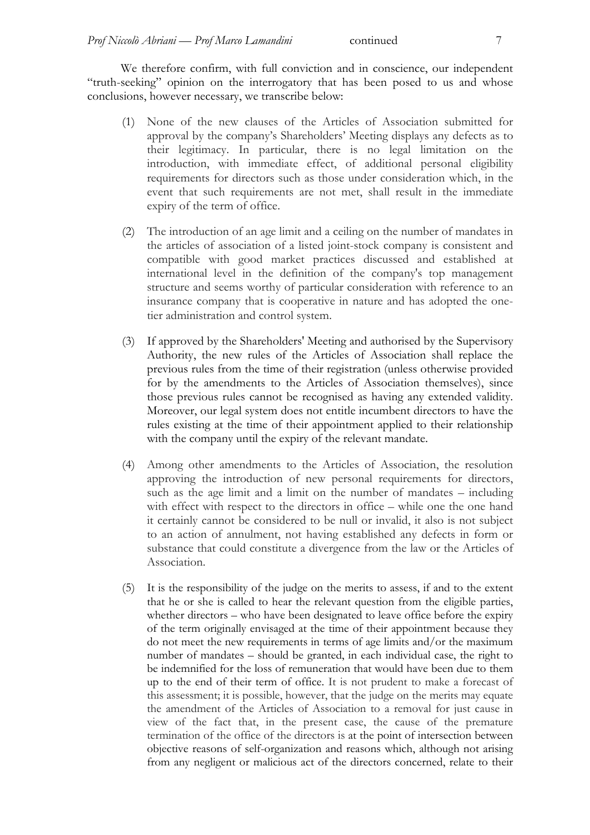We therefore confirm, with full conviction and in conscience, our independent "truth-seeking" opinion on the interrogatory that has been posed to us and whose conclusions, however necessary, we transcribe below:

- (1) None of the new clauses of the Articles of Association submitted for approval by the company's Shareholders' Meeting displays any defects as to their legitimacy. In particular, there is no legal limitation on the introduction, with immediate effect, of additional personal eligibility requirements for directors such as those under consideration which, in the event that such requirements are not met, shall result in the immediate expiry of the term of office.
- (2) The introduction of an age limit and a ceiling on the number of mandates in the articles of association of a listed joint-stock company is consistent and compatible with good market practices discussed and established at international level in the definition of the company's top management structure and seems worthy of particular consideration with reference to an insurance company that is cooperative in nature and has adopted the onetier administration and control system.
- (3) If approved by the Shareholders' Meeting and authorised by the Supervisory Authority, the new rules of the Articles of Association shall replace the previous rules from the time of their registration (unless otherwise provided for by the amendments to the Articles of Association themselves), since those previous rules cannot be recognised as having any extended validity. Moreover, our legal system does not entitle incumbent directors to have the rules existing at the time of their appointment applied to their relationship with the company until the expiry of the relevant mandate.
- (4) Among other amendments to the Articles of Association, the resolution approving the introduction of new personal requirements for directors, such as the age limit and a limit on the number of mandates – including with effect with respect to the directors in office – while one the one hand it certainly cannot be considered to be null or invalid, it also is not subject to an action of annulment, not having established any defects in form or substance that could constitute a divergence from the law or the Articles of Association.
- (5) It is the responsibility of the judge on the merits to assess, if and to the extent that he or she is called to hear the relevant question from the eligible parties, whether directors – who have been designated to leave office before the expiry of the term originally envisaged at the time of their appointment because they do not meet the new requirements in terms of age limits and/or the maximum number of mandates – should be granted, in each individual case, the right to be indemnified for the loss of remuneration that would have been due to them up to the end of their term of office. It is not prudent to make a forecast of this assessment; it is possible, however, that the judge on the merits may equate the amendment of the Articles of Association to a removal for just cause in view of the fact that, in the present case, the cause of the premature termination of the office of the directors is at the point of intersection between objective reasons of self-organization and reasons which, although not arising from any negligent or malicious act of the directors concerned, relate to their